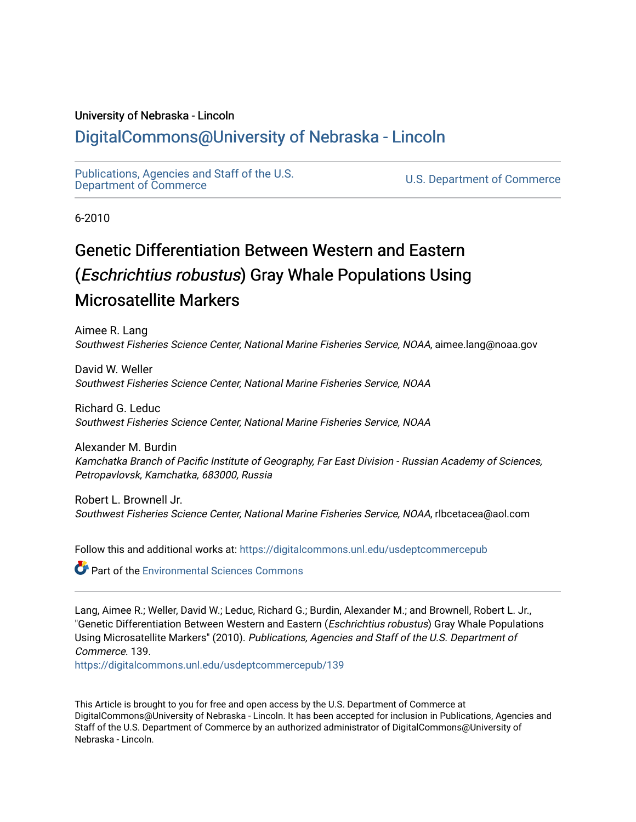# University of Nebraska - Lincoln

# [DigitalCommons@University of Nebraska - Lincoln](https://digitalcommons.unl.edu/)

[Publications, Agencies and Staff of the U.S.](https://digitalcommons.unl.edu/usdeptcommercepub)

U.S. [Department of Commerce](https://digitalcommons.unl.edu/usdeptcommercepub)

6-2010

# Genetic Differentiation Between Western and Eastern (Eschrichtius robustus) Gray Whale Populations Using Microsatellite Markers

Aimee R. Lang Southwest Fisheries Science Center, National Marine Fisheries Service, NOAA, aimee.lang@noaa.gov

David W. Weller Southwest Fisheries Science Center, National Marine Fisheries Service, NOAA

Richard G. Leduc Southwest Fisheries Science Center, National Marine Fisheries Service, NOAA

Alexander M. Burdin Kamchatka Branch of Pacific Institute of Geography, Far East Division - Russian Academy of Sciences, Petropavlovsk, Kamchatka, 683000, Russia

Robert L. Brownell Jr. Southwest Fisheries Science Center, National Marine Fisheries Service, NOAA, rlbcetacea@aol.com

Follow this and additional works at: [https://digitalcommons.unl.edu/usdeptcommercepub](https://digitalcommons.unl.edu/usdeptcommercepub?utm_source=digitalcommons.unl.edu%2Fusdeptcommercepub%2F139&utm_medium=PDF&utm_campaign=PDFCoverPages)

Part of the [Environmental Sciences Commons](http://network.bepress.com/hgg/discipline/167?utm_source=digitalcommons.unl.edu%2Fusdeptcommercepub%2F139&utm_medium=PDF&utm_campaign=PDFCoverPages)

Lang, Aimee R.; Weller, David W.; Leduc, Richard G.; Burdin, Alexander M.; and Brownell, Robert L. Jr., "Genetic Differentiation Between Western and Eastern (*Eschrichtius robustus*) Gray Whale Populations Using Microsatellite Markers" (2010). Publications, Agencies and Staff of the U.S. Department of Commerce. 139.

[https://digitalcommons.unl.edu/usdeptcommercepub/139](https://digitalcommons.unl.edu/usdeptcommercepub/139?utm_source=digitalcommons.unl.edu%2Fusdeptcommercepub%2F139&utm_medium=PDF&utm_campaign=PDFCoverPages) 

This Article is brought to you for free and open access by the U.S. Department of Commerce at DigitalCommons@University of Nebraska - Lincoln. It has been accepted for inclusion in Publications, Agencies and Staff of the U.S. Department of Commerce by an authorized administrator of DigitalCommons@University of Nebraska - Lincoln.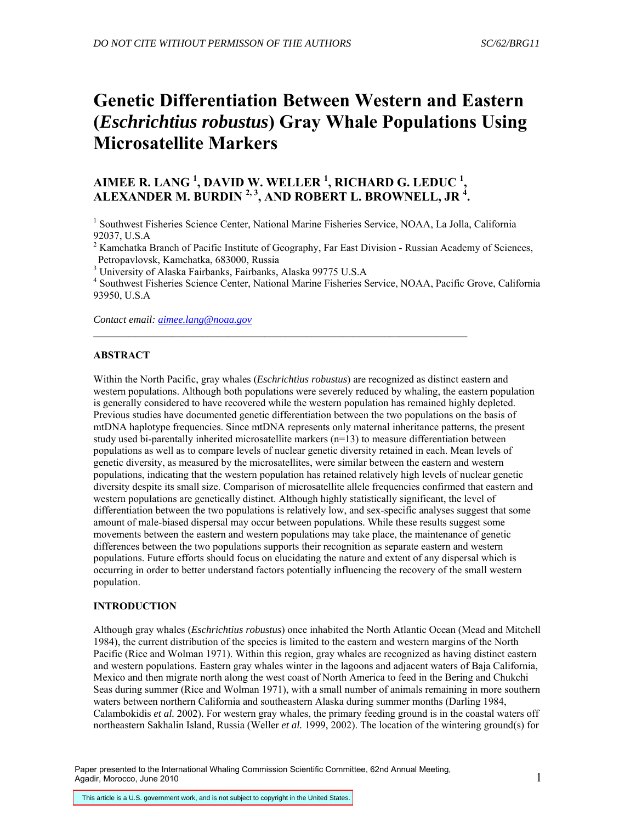# **Genetic Differentiation Between Western and Eastern (***Eschrichtius robustus***) Gray Whale Populations Using Microsatellite Markers**

# **AIMEE R. LANG <sup>1</sup> , DAVID W. WELLER <sup>1</sup> , RICHARD G. LEDUC <sup>1</sup> , ALEXANDER M. BURDIN 2, 3, AND ROBERT L. BROWNELL, JR 4 .**

 $\_$  , and the set of the set of the set of the set of the set of the set of the set of the set of the set of the set of the set of the set of the set of the set of the set of the set of the set of the set of the set of th

<sup>1</sup> Southwest Fisheries Science Center, National Marine Fisheries Service, NOAA, La Jolla, California 92037, U.S.A

 $2^2$  Kamchatka Branch of Pacific Institute of Geography, Far East Division - Russian Academy of Sciences, Petropavlovsk, Kamchatka, 683000, Russia

<sup>3</sup> University of Alaska Fairbanks, Fairbanks, Alaska 99775 U.S.A

4 Southwest Fisheries Science Center, National Marine Fisheries Service, NOAA, Pacific Grove, California 93950, U.S.A

*Contact email: [aimee.lang@noaa.gov](mailto:aimee.lang@noaa.gov)*

# **ABSTRACT**

Within the North Pacific, gray whales (*Eschrichtius robustus*) are recognized as distinct eastern and western populations. Although both populations were severely reduced by whaling, the eastern population is generally considered to have recovered while the western population has remained highly depleted. Previous studies have documented genetic differentiation between the two populations on the basis of mtDNA haplotype frequencies. Since mtDNA represents only maternal inheritance patterns, the present study used bi-parentally inherited microsatellite markers (n=13) to measure differentiation between populations as well as to compare levels of nuclear genetic diversity retained in each. Mean levels of genetic diversity, as measured by the microsatellites, were similar between the eastern and western populations, indicating that the western population has retained relatively high levels of nuclear genetic diversity despite its small size. Comparison of microsatellite allele frequencies confirmed that eastern and western populations are genetically distinct. Although highly statistically significant, the level of differentiation between the two populations is relatively low, and sex-specific analyses suggest that some amount of male-biased dispersal may occur between populations. While these results suggest some movements between the eastern and western populations may take place, the maintenance of genetic differences between the two populations supports their recognition as separate eastern and western populations. Future efforts should focus on elucidating the nature and extent of any dispersal which is occurring in order to better understand factors potentially influencing the recovery of the small western population.

# **INTRODUCTION**

Although gray whales (*Eschrichtius robustus*) once inhabited the North Atlantic Ocean (Mead and Mitchell 1984), the current distribution of the species is limited to the eastern and western margins of the North Pacific (Rice and Wolman 1971). Within this region, gray whales are recognized as having distinct eastern and western populations. Eastern gray whales winter in the lagoons and adjacent waters of Baja California, Mexico and then migrate north along the west coast of North America to feed in the Bering and Chukchi Seas during summer (Rice and Wolman 1971), with a small number of animals remaining in more southern waters between northern California and southeastern Alaska during summer months (Darling 1984, Calambokidis *et al.* 2002). For western gray whales, the primary feeding ground is in the coastal waters off northeastern Sakhalin Island, Russia (Weller *et al.* 1999, 2002). The location of the wintering ground(s) for

Paper presented to the International Whaling Commission Scientific Committee, 62nd Annual Meeting, Agadir, Morocco, June 2010

This article is a U.S. government work, and is not subject to copyright in the United States.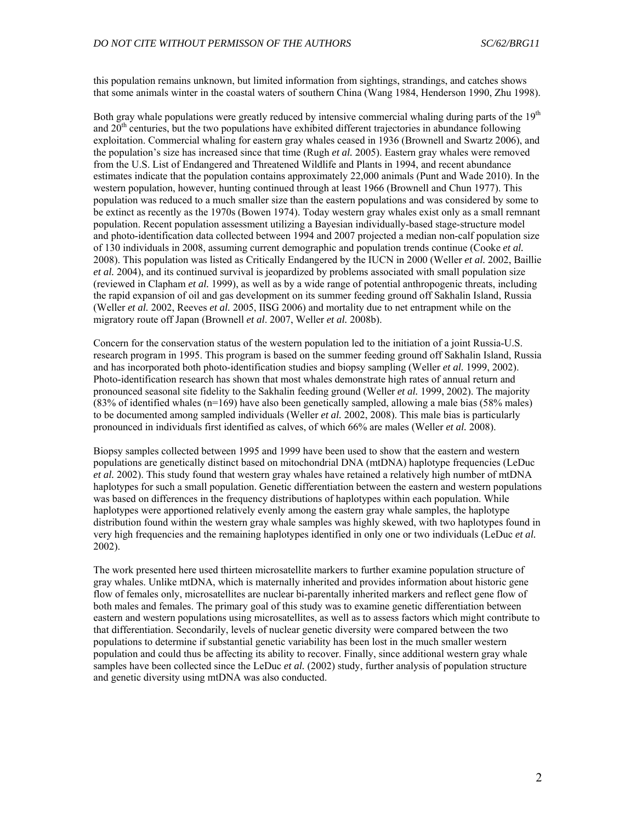this population remains unknown, but limited information from sightings, strandings, and catches shows that some animals winter in the coastal waters of southern China (Wang 1984, Henderson 1990, Zhu 1998).

Both gray whale populations were greatly reduced by intensive commercial whaling during parts of the  $19<sup>th</sup>$ and  $20<sup>th</sup>$  centuries, but the two populations have exhibited different trajectories in abundance following exploitation. Commercial whaling for eastern gray whales ceased in 1936 (Brownell and Swartz 2006), and the population's size has increased since that time (Rugh *et al.* 2005). Eastern gray whales were removed from the U.S. List of Endangered and Threatened Wildlife and Plants in 1994, and recent abundance estimates indicate that the population contains approximately 22,000 animals (Punt and Wade 2010). In the western population, however, hunting continued through at least 1966 (Brownell and Chun 1977). This population was reduced to a much smaller size than the eastern populations and was considered by some to be extinct as recently as the 1970s (Bowen 1974). Today western gray whales exist only as a small remnant population. Recent population assessment utilizing a Bayesian individually-based stage-structure model and photo-identification data collected between 1994 and 2007 projected a median non-calf population size of 130 individuals in 2008, assuming current demographic and population trends continue (Cooke *et al.* 2008). This population was listed as Critically Endangered by the IUCN in 2000 (Weller *et al.* 2002, Baillie *et al.* 2004), and its continued survival is jeopardized by problems associated with small population size (reviewed in Clapham *et al.* 1999), as well as by a wide range of potential anthropogenic threats, including the rapid expansion of oil and gas development on its summer feeding ground off Sakhalin Island, Russia (Weller *et al.* 2002, Reeves *et al.* 2005, IISG 2006) and mortality due to net entrapment while on the migratory route off Japan (Brownell *et al*. 2007, Weller *et al.* 2008b).

Concern for the conservation status of the western population led to the initiation of a joint Russia-U.S. research program in 1995. This program is based on the summer feeding ground off Sakhalin Island, Russia and has incorporated both photo-identification studies and biopsy sampling (Weller *et al.* 1999, 2002). Photo-identification research has shown that most whales demonstrate high rates of annual return and pronounced seasonal site fidelity to the Sakhalin feeding ground (Weller *et al.* 1999, 2002). The majority  $(83\%$  of identified whales (n=169) have also been genetically sampled, allowing a male bias (58% males) to be documented among sampled individuals (Weller *et al.* 2002, 2008). This male bias is particularly pronounced in individuals first identified as calves, of which 66% are males (Weller *et al.* 2008).

Biopsy samples collected between 1995 and 1999 have been used to show that the eastern and western populations are genetically distinct based on mitochondrial DNA (mtDNA) haplotype frequencies (LeDuc *et al.* 2002). This study found that western gray whales have retained a relatively high number of mtDNA haplotypes for such a small population. Genetic differentiation between the eastern and western populations was based on differences in the frequency distributions of haplotypes within each population. While haplotypes were apportioned relatively evenly among the eastern gray whale samples, the haplotype distribution found within the western gray whale samples was highly skewed, with two haplotypes found in very high frequencies and the remaining haplotypes identified in only one or two individuals (LeDuc *et al.* 2002).

The work presented here used thirteen microsatellite markers to further examine population structure of gray whales. Unlike mtDNA, which is maternally inherited and provides information about historic gene flow of females only, microsatellites are nuclear bi-parentally inherited markers and reflect gene flow of both males and females. The primary goal of this study was to examine genetic differentiation between eastern and western populations using microsatellites, as well as to assess factors which might contribute to that differentiation. Secondarily, levels of nuclear genetic diversity were compared between the two populations to determine if substantial genetic variability has been lost in the much smaller western population and could thus be affecting its ability to recover. Finally, since additional western gray whale samples have been collected since the LeDuc *et al.* (2002) study, further analysis of population structure and genetic diversity using mtDNA was also conducted.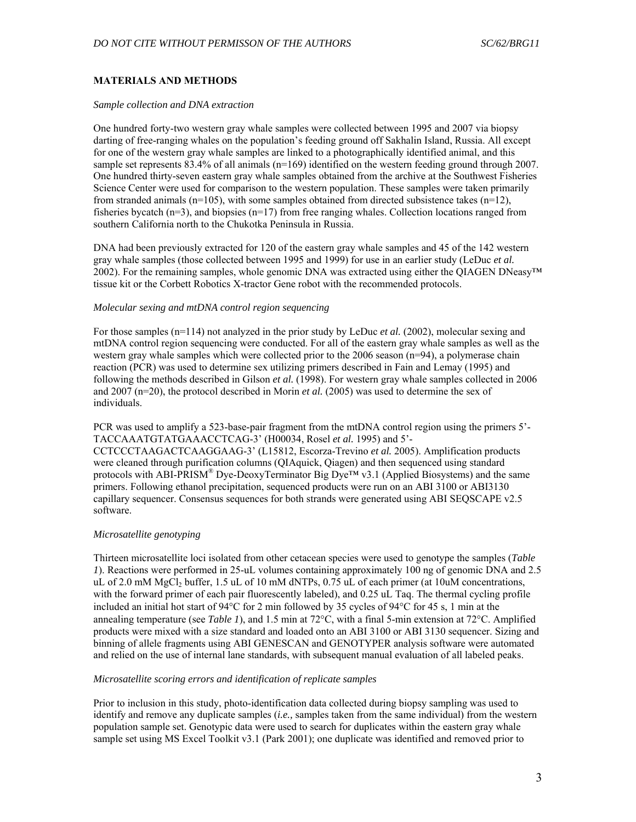# **MATERIALS AND METHODS**

#### *Sample collection and DNA extraction*

One hundred forty-two western gray whale samples were collected between 1995 and 2007 via biopsy darting of free-ranging whales on the population's feeding ground off Sakhalin Island, Russia. All except for one of the western gray whale samples are linked to a photographically identified animal, and this sample set represents  $83.4\%$  of all animals (n=169) identified on the western feeding ground through 2007. One hundred thirty-seven eastern gray whale samples obtained from the archive at the Southwest Fisheries Science Center were used for comparison to the western population. These samples were taken primarily from stranded animals ( $n=105$ ), with some samples obtained from directed subsistence takes  $(n=12)$ , fisheries bycatch  $(n=3)$ , and biopsies  $(n=17)$  from free ranging whales. Collection locations ranged from southern California north to the Chukotka Peninsula in Russia.

DNA had been previously extracted for 120 of the eastern gray whale samples and 45 of the 142 western gray whale samples (those collected between 1995 and 1999) for use in an earlier study (LeDuc *et al.* 2002). For the remaining samples, whole genomic DNA was extracted using either the QIAGEN DNeasy™ tissue kit or the Corbett Robotics X-tractor Gene robot with the recommended protocols.

## *Molecular sexing and mtDNA control region sequencing*

For those samples (n=114) not analyzed in the prior study by LeDuc *et al.* (2002), molecular sexing and mtDNA control region sequencing were conducted. For all of the eastern gray whale samples as well as the western gray whale samples which were collected prior to the 2006 season (n=94), a polymerase chain reaction (PCR) was used to determine sex utilizing primers described in Fain and Lemay (1995) and following the methods described in Gilson *et al.* (1998). For western gray whale samples collected in 2006 and 2007 (n=20), the protocol described in Morin *et al.* (2005) was used to determine the sex of individuals.

PCR was used to amplify a 523-base-pair fragment from the mtDNA control region using the primers 5'- TACCAAATGTATGAAACCTCAG-3' (H00034, Rosel *et al.* 1995) and 5'-

CCTCCCTAAGACTCAAGGAAG-3' (L15812, Escorza-Trevino *et al.* 2005). Amplification products were cleaned through purification columns (QIAquick, Qiagen) and then sequenced using standard protocols with ABI-PRISM<sup>®</sup> Dye-DeoxyTerminator Big Dye<sup>™</sup> v3.1 (Applied Biosystems) and the same primers. Following ethanol precipitation, sequenced products were run on an ABI 3100 or ABI3130 capillary sequencer. Consensus sequences for both strands were generated using ABI SEOSCAPE v2.5 software.

#### *Microsatellite genotyping*

Thirteen microsatellite loci isolated from other cetacean species were used to genotype the samples (*Table 1*). Reactions were performed in 25-uL volumes containing approximately 100 ng of genomic DNA and 2.5 uL of 2.0 mM MgCl<sub>2</sub> buffer, 1.5 uL of 10 mM dNTPs,  $0.75$  uL of each primer (at 10uM concentrations, with the forward primer of each pair fluorescently labeled), and 0.25 uL Taq. The thermal cycling profile included an initial hot start of  $94^{\circ}$ C for 2 min followed by 35 cycles of  $94^{\circ}$ C for 45 s, 1 min at the annealing temperature (see *Table 1*), and 1.5 min at 72 $^{\circ}$ C, with a final 5-min extension at 72 $^{\circ}$ C. Amplified products were mixed with a size standard and loaded onto an ABI 3100 or ABI 3130 sequencer. Sizing and binning of allele fragments using ABI GENESCAN and GENOTYPER analysis software were automated and relied on the use of internal lane standards, with subsequent manual evaluation of all labeled peaks.

### *Microsatellite scoring errors and identification of replicate samples*

Prior to inclusion in this study, photo-identification data collected during biopsy sampling was used to identify and remove any duplicate samples (*i.e.,* samples taken from the same individual) from the western population sample set. Genotypic data were used to search for duplicates within the eastern gray whale sample set using MS Excel Toolkit v3.1 (Park 2001); one duplicate was identified and removed prior to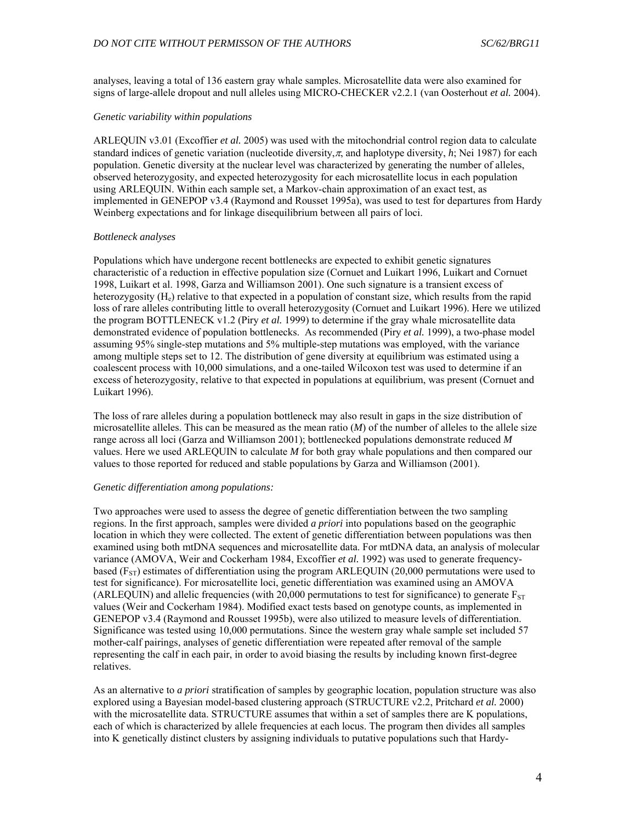analyses, leaving a total of 136 eastern gray whale samples. Microsatellite data were also examined for signs of large-allele dropout and null alleles using MICRO-CHECKER v2.2.1 (van Oosterhout *et al.* 2004).

#### *Genetic variability within populations*

ARLEQUIN v3.01 (Excoffier *et al.* 2005) was used with the mitochondrial control region data to calculate standard indices of genetic variation (nucleotide diversity,  $\pi$ , and haplotype diversity, *h*; Nei 1987) for each population. Genetic diversity at the nuclear level was characterized by generating the number of alleles, observed heterozygosity, and expected heterozygosity for each microsatellite locus in each population using ARLEQUIN. Within each sample set, a Markov-chain approximation of an exact test, as implemented in GENEPOP v3.4 (Raymond and Rousset 1995a), was used to test for departures from Hardy Weinberg expectations and for linkage disequilibrium between all pairs of loci.

#### *Bottleneck analyses*

Populations which have undergone recent bottlenecks are expected to exhibit genetic signatures characteristic of a reduction in effective population size (Cornuet and Luikart 1996, Luikart and Cornuet 1998, Luikart et al. 1998, Garza and Williamson 2001). One such signature is a transient excess of heterozygosity (H<sub>e</sub>) relative to that expected in a population of constant size, which results from the rapid loss of rare alleles contributing little to overall heterozygosity (Cornuet and Luikart 1996). Here we utilized the program BOTTLENECK v1.2 (Piry *et al.* 1999) to determine if the gray whale microsatellite data demonstrated evidence of population bottlenecks. As recommended (Piry *et al.* 1999), a two-phase model assuming 95% single-step mutations and 5% multiple-step mutations was employed, with the variance among multiple steps set to 12. The distribution of gene diversity at equilibrium was estimated using a coalescent process with 10,000 simulations, and a one-tailed Wilcoxon test was used to determine if an excess of heterozygosity, relative to that expected in populations at equilibrium, was present (Cornuet and Luikart 1996).

The loss of rare alleles during a population bottleneck may also result in gaps in the size distribution of microsatellite alleles. This can be measured as the mean ratio (*M*) of the number of alleles to the allele size range across all loci (Garza and Williamson 2001); bottlenecked populations demonstrate reduced *M* values. Here we used ARLEQUIN to calculate *M* for both gray whale populations and then compared our values to those reported for reduced and stable populations by Garza and Williamson (2001).

#### *Genetic differentiation among populations:*

Two approaches were used to assess the degree of genetic differentiation between the two sampling regions. In the first approach, samples were divided *a priori* into populations based on the geographic location in which they were collected. The extent of genetic differentiation between populations was then examined using both mtDNA sequences and microsatellite data. For mtDNA data, an analysis of molecular variance (AMOVA, Weir and Cockerham 1984, Excoffier *et al.* 1992) was used to generate frequencybased ( $F_{ST}$ ) estimates of differentiation using the program ARLEQUIN (20,000 permutations were used to test for significance). For microsatellite loci, genetic differentiation was examined using an AMOVA (ARLEQUIN) and allelic frequencies (with 20,000 permutations to test for significance) to generate  $F_{ST}$ values (Weir and Cockerham 1984). Modified exact tests based on genotype counts, as implemented in GENEPOP v3.4 (Raymond and Rousset 1995b), were also utilized to measure levels of differentiation. Significance was tested using 10,000 permutations. Since the western gray whale sample set included 57 mother-calf pairings, analyses of genetic differentiation were repeated after removal of the sample representing the calf in each pair, in order to avoid biasing the results by including known first-degree relatives.

As an alternative to *a priori* stratification of samples by geographic location, population structure was also explored using a Bayesian model-based clustering approach (STRUCTURE v2.2, Pritchard *et al.* 2000) with the microsatellite data. STRUCTURE assumes that within a set of samples there are K populations, each of which is characterized by allele frequencies at each locus. The program then divides all samples into K genetically distinct clusters by assigning individuals to putative populations such that Hardy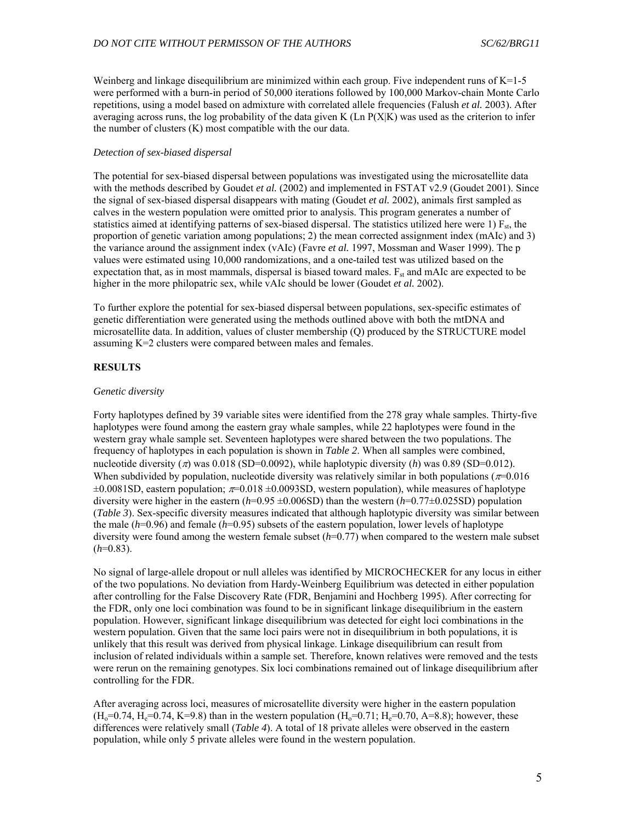Weinberg and linkage disequilibrium are minimized within each group. Five independent runs of K=1-5 were performed with a burn-in period of 50,000 iterations followed by 100,000 Markov-chain Monte Carlo repetitions, using a model based on admixture with correlated allele frequencies (Falush *et al.* 2003). After averaging across runs, the log probability of the data given K  $(Ln P(X|K))$  was used as the criterion to infer the number of clusters (K) most compatible with the our data.

#### *Detection of sex-biased dispersal*

The potential for sex-biased dispersal between populations was investigated using the microsatellite data with the methods described by Goudet *et al.* (2002) and implemented in FSTAT v2.9 (Goudet 2001). Since the signal of sex-biased dispersal disappears with mating (Goudet *et al.* 2002), animals first sampled as calves in the western population were omitted prior to analysis. This program generates a number of statistics aimed at identifying patterns of sex-biased dispersal. The statistics utilized here were 1)  $F_{st}$ , the proportion of genetic variation among populations; 2) the mean corrected assignment index (mAIc) and 3) the variance around the assignment index (vAIc) (Favre *et al.* 1997, Mossman and Waser 1999). The p values were estimated using 10,000 randomizations, and a one-tailed test was utilized based on the expectation that, as in most mammals, dispersal is biased toward males.  $F_{st}$  and mAIc are expected to be higher in the more philopatric sex, while vAIc should be lower (Goudet *et al.* 2002).

To further explore the potential for sex-biased dispersal between populations, sex-specific estimates of genetic differentiation were generated using the methods outlined above with both the mtDNA and microsatellite data. In addition, values of cluster membership (Q) produced by the STRUCTURE model assuming K=2 clusters were compared between males and females.

## **RESULTS**

#### *Genetic diversity*

Forty haplotypes defined by 39 variable sites were identified from the 278 gray whale samples. Thirty-five haplotypes were found among the eastern gray whale samples, while 22 haplotypes were found in the western gray whale sample set. Seventeen haplotypes were shared between the two populations. The frequency of haplotypes in each population is shown in *Table 2*. When all samples were combined, nucleotide diversity ( $\pi$ ) was 0.018 (SD=0.0092), while haplotypic diversity (*h*) was 0.89 (SD=0.012). When subdivided by population, nucleotide diversity was relatively similar in both populations ( $\pi$ =0.016  $\pm 0.0081$ SD, eastern population;  $\pi$ =0.018  $\pm 0.0093$ SD, western population), while measures of haplotype diversity were higher in the eastern (*h*=0.95 ±0.006SD) than the western (*h*=0.77±0.025SD) population (*Table 3*). Sex-specific diversity measures indicated that although haplotypic diversity was similar between the male (*h*=0.96) and female (*h*=0.95) subsets of the eastern population, lower levels of haplotype diversity were found among the western female subset  $(h=0.77)$  when compared to the western male subset  $(h=0.83)$ .

No signal of large-allele dropout or null alleles was identified by MICROCHECKER for any locus in either of the two populations. No deviation from Hardy-Weinberg Equilibrium was detected in either population after controlling for the False Discovery Rate (FDR, Benjamini and Hochberg 1995). After correcting for the FDR, only one loci combination was found to be in significant linkage disequilibrium in the eastern population. However, significant linkage disequilibrium was detected for eight loci combinations in the western population. Given that the same loci pairs were not in disequilibrium in both populations, it is unlikely that this result was derived from physical linkage. Linkage disequilibrium can result from inclusion of related individuals within a sample set. Therefore, known relatives were removed and the tests were rerun on the remaining genotypes. Six loci combinations remained out of linkage disequilibrium after controlling for the FDR.

After averaging across loci, measures of microsatellite diversity were higher in the eastern population  $(H_0=0.74, H_0=0.74, K=9.8)$  than in the western population  $(H_0=0.71; H_0=0.70, A=8.8)$ ; however, these differences were relatively small (*Table 4*). A total of 18 private alleles were observed in the eastern population, while only 5 private alleles were found in the western population.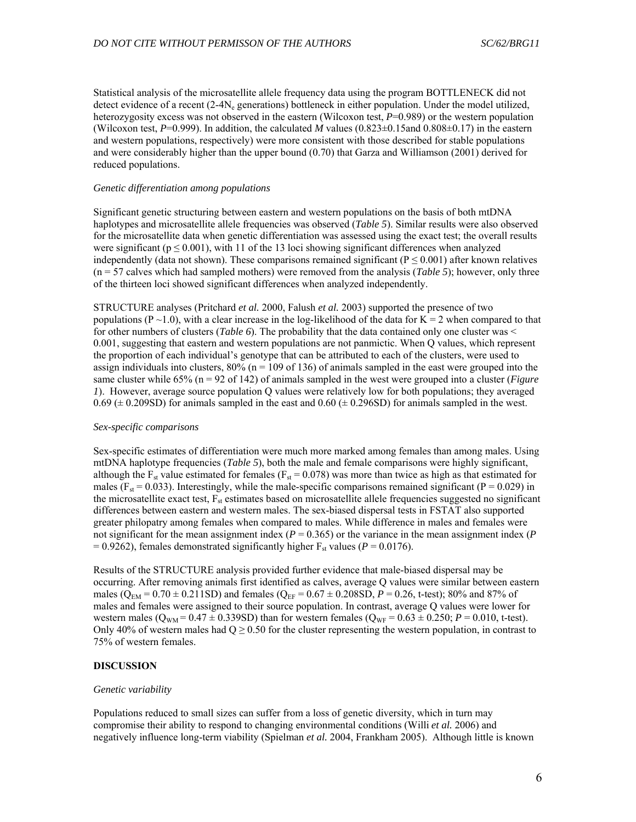Statistical analysis of the microsatellite allele frequency data using the program BOTTLENECK did not detect evidence of a recent  $(2-4N_e$  generations) bottleneck in either population. Under the model utilized, heterozygosity excess was not observed in the eastern (Wilcoxon test, *P*=0.989) or the western population (Wilcoxon test,  $P=0.999$ ). In addition, the calculated *M* values  $(0.823\pm0.15$  and  $0.808\pm0.17)$  in the eastern and western populations, respectively) were more consistent with those described for stable populations and were considerably higher than the upper bound (0.70) that Garza and Williamson (2001) derived for reduced populations.

#### *Genetic differentiation among populations*

Significant genetic structuring between eastern and western populations on the basis of both mtDNA haplotypes and microsatellite allele frequencies was observed (*Table 5*). Similar results were also observed for the microsatellite data when genetic differentiation was assessed using the exact test; the overall results were significant ( $p \le 0.001$ ), with 11 of the 13 loci showing significant differences when analyzed independently (data not shown). These comparisons remained significant ( $P \le 0.001$ ) after known relatives  $(n = 57$  calves which had sampled mothers) were removed from the analysis (*Table 5*); however, only three of the thirteen loci showed significant differences when analyzed independently.

STRUCTURE analyses (Pritchard *et al.* 2000, Falush *et al.* 2003) supported the presence of two populations (P  $\sim$ 1.0), with a clear increase in the log-likelihood of the data for K = 2 when compared to that for other numbers of clusters (*Table 6*). The probability that the data contained only one cluster was < 0.001, suggesting that eastern and western populations are not panmictic. When Q values, which represent the proportion of each individual's genotype that can be attributed to each of the clusters, were used to assign individuals into clusters,  $80\%$  ( $n = 109$  of 136) of animals sampled in the east were grouped into the same cluster while 65% (n = 92 of 142) of animals sampled in the west were grouped into a cluster (*Figure 1*). However, average source population Q values were relatively low for both populations; they averaged  $0.69 \pm 0.209$ SD) for animals sampled in the east and  $0.60 \pm 0.296$ SD) for animals sampled in the west.

#### *Sex-specific comparisons*

Sex-specific estimates of differentiation were much more marked among females than among males. Using mtDNA haplotype frequencies (*Table 5*), both the male and female comparisons were highly significant, although the  $F_{st}$  value estimated for females ( $F_{st} = 0.078$ ) was more than twice as high as that estimated for males ( $F_{st}$  = 0.033). Interestingly, while the male-specific comparisons remained significant ( $P = 0.029$ ) in the microsatellite exact test,  $F_{st}$  estimates based on microsatellite allele frequencies suggested no significant differences between eastern and western males. The sex-biased dispersal tests in FSTAT also supported greater philopatry among females when compared to males. While difference in males and females were not significant for the mean assignment index ( $P = 0.365$ ) or the variance in the mean assignment index ( $P = 0.365$ )  $= 0.9262$ ), females demonstrated significantly higher F<sub>st</sub> values ( $P = 0.0176$ ).

Results of the STRUCTURE analysis provided further evidence that male-biased dispersal may be occurring. After removing animals first identified as calves, average Q values were similar between eastern males ( $Q_{EM}$  = 0.70  $\pm$  0.211SD) and females ( $Q_{EF}$  = 0.67  $\pm$  0.208SD,  $P$  = 0.26, t-test); 80% and 87% of males and females were assigned to their source population. In contrast, average Q values were lower for western males ( $Q_{WM} = 0.47 \pm 0.339SD$ ) than for western females ( $Q_{WF} = 0.63 \pm 0.250$ ;  $P = 0.010$ , t-test). Only 40% of western males had  $Q \ge 0.50$  for the cluster representing the western population, in contrast to 75% of western females.

#### **DISCUSSION**

#### *Genetic variability*

Populations reduced to small sizes can suffer from a loss of genetic diversity, which in turn may compromise their ability to respond to changing environmental conditions (Willi *et al.* 2006) and negatively influence long-term viability (Spielman *et al.* 2004, Frankham 2005). Although little is known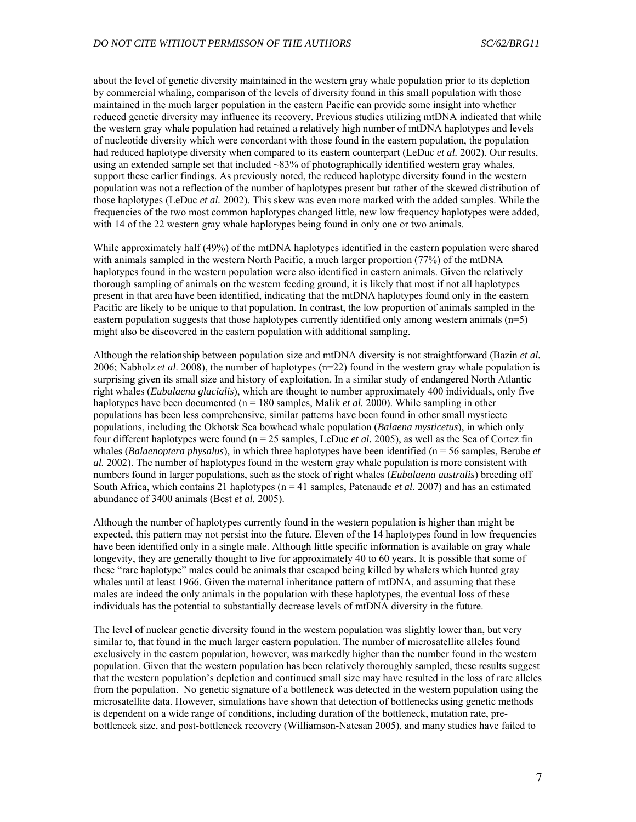about the level of genetic diversity maintained in the western gray whale population prior to its depletion by commercial whaling, comparison of the levels of diversity found in this small population with those maintained in the much larger population in the eastern Pacific can provide some insight into whether reduced genetic diversity may influence its recovery. Previous studies utilizing mtDNA indicated that while the western gray whale population had retained a relatively high number of mtDNA haplotypes and levels of nucleotide diversity which were concordant with those found in the eastern population, the population had reduced haplotype diversity when compared to its eastern counterpart (LeDuc *et al.* 2002). Our results, using an extended sample set that included ~83% of photographically identified western gray whales, support these earlier findings. As previously noted, the reduced haplotype diversity found in the western population was not a reflection of the number of haplotypes present but rather of the skewed distribution of those haplotypes (LeDuc *et al.* 2002). This skew was even more marked with the added samples. While the frequencies of the two most common haplotypes changed little, new low frequency haplotypes were added, with 14 of the 22 western gray whale haplotypes being found in only one or two animals.

While approximately half (49%) of the mtDNA haplotypes identified in the eastern population were shared with animals sampled in the western North Pacific, a much larger proportion (77%) of the mtDNA haplotypes found in the western population were also identified in eastern animals. Given the relatively thorough sampling of animals on the western feeding ground, it is likely that most if not all haplotypes present in that area have been identified, indicating that the mtDNA haplotypes found only in the eastern Pacific are likely to be unique to that population. In contrast, the low proportion of animals sampled in the eastern population suggests that those haplotypes currently identified only among western animals  $(n=5)$ might also be discovered in the eastern population with additional sampling.

Although the relationship between population size and mtDNA diversity is not straightforward (Bazin *et al.* 2006; Nabholz *et al*. 2008), the number of haplotypes (n=22) found in the western gray whale population is surprising given its small size and history of exploitation. In a similar study of endangered North Atlantic right whales (*Eubalaena glacialis*), which are thought to number approximately 400 individuals, only five haplotypes have been documented (n = 180 samples, Malik *et al.* 2000). While sampling in other populations has been less comprehensive, similar patterns have been found in other small mysticete populations, including the Okhotsk Sea bowhead whale population (*Balaena mysticetus*), in which only four different haplotypes were found (n = 25 samples, LeDuc *et al.* 2005), as well as the Sea of Cortez fin whales (*Balaenoptera physalus*), in which three haplotypes have been identified (n = 56 samples, Berube *et al.* 2002). The number of haplotypes found in the western gray whale population is more consistent with numbers found in larger populations, such as the stock of right whales (*Eubalaena australis*) breeding off South Africa, which contains 21 haplotypes (n = 41 samples, Patenaude *et al.* 2007) and has an estimated abundance of 3400 animals (Best *et al.* 2005).

Although the number of haplotypes currently found in the western population is higher than might be expected, this pattern may not persist into the future. Eleven of the 14 haplotypes found in low frequencies have been identified only in a single male. Although little specific information is available on gray whale longevity, they are generally thought to live for approximately 40 to 60 years. It is possible that some of these "rare haplotype" males could be animals that escaped being killed by whalers which hunted gray whales until at least 1966. Given the maternal inheritance pattern of mtDNA, and assuming that these males are indeed the only animals in the population with these haplotypes, the eventual loss of these individuals has the potential to substantially decrease levels of mtDNA diversity in the future.

The level of nuclear genetic diversity found in the western population was slightly lower than, but very similar to, that found in the much larger eastern population. The number of microsatellite alleles found exclusively in the eastern population, however, was markedly higher than the number found in the western population. Given that the western population has been relatively thoroughly sampled, these results suggest that the western population's depletion and continued small size may have resulted in the loss of rare alleles from the population. No genetic signature of a bottleneck was detected in the western population using the microsatellite data. However, simulations have shown that detection of bottlenecks using genetic methods is dependent on a wide range of conditions, including duration of the bottleneck, mutation rate, prebottleneck size, and post-bottleneck recovery (Williamson-Natesan 2005), and many studies have failed to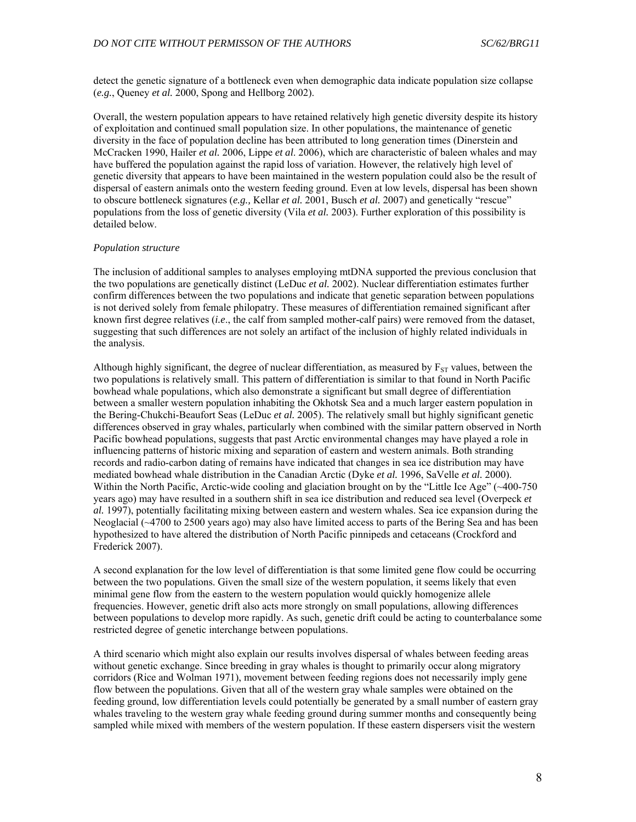detect the genetic signature of a bottleneck even when demographic data indicate population size collapse (*e.g.*, Queney *et al.* 2000, Spong and Hellborg 2002).

Overall, the western population appears to have retained relatively high genetic diversity despite its history of exploitation and continued small population size. In other populations, the maintenance of genetic diversity in the face of population decline has been attributed to long generation times (Dinerstein and McCracken 1990, Hailer *et al.* 2006, Lippe *et al*. 2006), which are characteristic of baleen whales and may have buffered the population against the rapid loss of variation. However, the relatively high level of genetic diversity that appears to have been maintained in the western population could also be the result of dispersal of eastern animals onto the western feeding ground. Even at low levels, dispersal has been shown to obscure bottleneck signatures (*e.g.,* Kellar *et al.* 2001, Busch *et al.* 2007) and genetically "rescue" populations from the loss of genetic diversity (Vila *et al.* 2003). Further exploration of this possibility is detailed below.

#### *Population structure*

The inclusion of additional samples to analyses employing mtDNA supported the previous conclusion that the two populations are genetically distinct (LeDuc *et al.* 2002). Nuclear differentiation estimates further confirm differences between the two populations and indicate that genetic separation between populations is not derived solely from female philopatry. These measures of differentiation remained significant after known first degree relatives (*i.e*., the calf from sampled mother-calf pairs) were removed from the dataset, suggesting that such differences are not solely an artifact of the inclusion of highly related individuals in the analysis.

Although highly significant, the degree of nuclear differentiation, as measured by  $F_{ST}$  values, between the two populations is relatively small. This pattern of differentiation is similar to that found in North Pacific bowhead whale populations, which also demonstrate a significant but small degree of differentiation between a smaller western population inhabiting the Okhotsk Sea and a much larger eastern population in the Bering-Chukchi-Beaufort Seas (LeDuc *et al.* 2005). The relatively small but highly significant genetic differences observed in gray whales, particularly when combined with the similar pattern observed in North Pacific bowhead populations, suggests that past Arctic environmental changes may have played a role in influencing patterns of historic mixing and separation of eastern and western animals. Both stranding records and radio-carbon dating of remains have indicated that changes in sea ice distribution may have mediated bowhead whale distribution in the Canadian Arctic (Dyke *et al.* 1996, SaVelle *et al.* 2000). Within the North Pacific, Arctic-wide cooling and glaciation brought on by the "Little Ice Age" (~400-750) years ago) may have resulted in a southern shift in sea ice distribution and reduced sea level (Overpeck *et al.* 1997), potentially facilitating mixing between eastern and western whales. Sea ice expansion during the Neoglacial (~4700 to 2500 years ago) may also have limited access to parts of the Bering Sea and has been hypothesized to have altered the distribution of North Pacific pinnipeds and cetaceans (Crockford and Frederick 2007).

A second explanation for the low level of differentiation is that some limited gene flow could be occurring between the two populations. Given the small size of the western population, it seems likely that even minimal gene flow from the eastern to the western population would quickly homogenize allele frequencies. However, genetic drift also acts more strongly on small populations, allowing differences between populations to develop more rapidly. As such, genetic drift could be acting to counterbalance some restricted degree of genetic interchange between populations.

A third scenario which might also explain our results involves dispersal of whales between feeding areas without genetic exchange. Since breeding in gray whales is thought to primarily occur along migratory corridors (Rice and Wolman 1971), movement between feeding regions does not necessarily imply gene flow between the populations. Given that all of the western gray whale samples were obtained on the feeding ground, low differentiation levels could potentially be generated by a small number of eastern gray whales traveling to the western gray whale feeding ground during summer months and consequently being sampled while mixed with members of the western population. If these eastern dispersers visit the western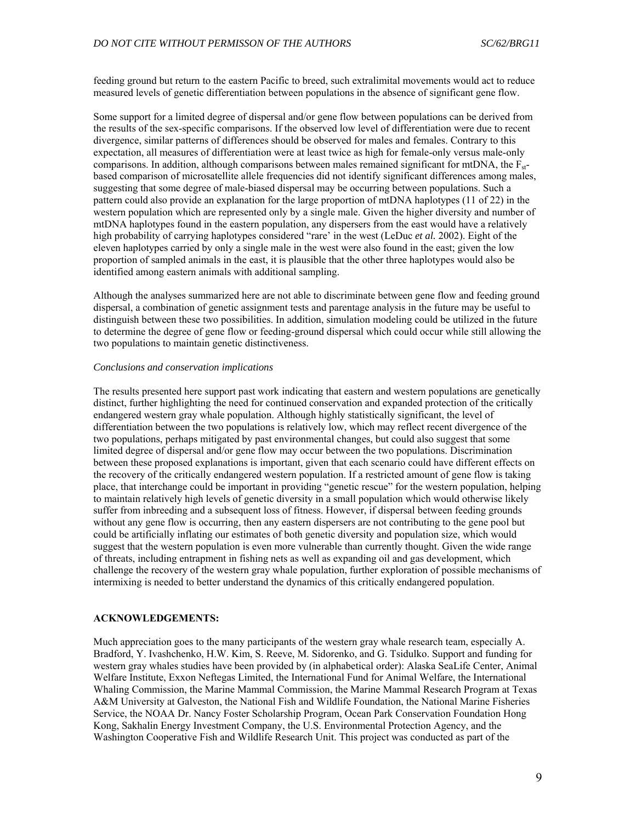feeding ground but return to the eastern Pacific to breed, such extralimital movements would act to reduce measured levels of genetic differentiation between populations in the absence of significant gene flow.

Some support for a limited degree of dispersal and/or gene flow between populations can be derived from the results of the sex-specific comparisons. If the observed low level of differentiation were due to recent divergence, similar patterns of differences should be observed for males and females. Contrary to this expectation, all measures of differentiation were at least twice as high for female-only versus male-only comparisons. In addition, although comparisons between males remained significant for mtDNA, the  $F_{st}$ based comparison of microsatellite allele frequencies did not identify significant differences among males, suggesting that some degree of male-biased dispersal may be occurring between populations. Such a pattern could also provide an explanation for the large proportion of mtDNA haplotypes (11 of 22) in the western population which are represented only by a single male. Given the higher diversity and number of mtDNA haplotypes found in the eastern population, any dispersers from the east would have a relatively high probability of carrying haplotypes considered "rare' in the west (LeDuc *et al.* 2002). Eight of the eleven haplotypes carried by only a single male in the west were also found in the east; given the low proportion of sampled animals in the east, it is plausible that the other three haplotypes would also be identified among eastern animals with additional sampling.

Although the analyses summarized here are not able to discriminate between gene flow and feeding ground dispersal, a combination of genetic assignment tests and parentage analysis in the future may be useful to distinguish between these two possibilities. In addition, simulation modeling could be utilized in the future to determine the degree of gene flow or feeding-ground dispersal which could occur while still allowing the two populations to maintain genetic distinctiveness.

#### *Conclusions and conservation implications*

The results presented here support past work indicating that eastern and western populations are genetically distinct, further highlighting the need for continued conservation and expanded protection of the critically endangered western gray whale population. Although highly statistically significant, the level of differentiation between the two populations is relatively low, which may reflect recent divergence of the two populations, perhaps mitigated by past environmental changes, but could also suggest that some limited degree of dispersal and/or gene flow may occur between the two populations. Discrimination between these proposed explanations is important, given that each scenario could have different effects on the recovery of the critically endangered western population. If a restricted amount of gene flow is taking place, that interchange could be important in providing "genetic rescue" for the western population, helping to maintain relatively high levels of genetic diversity in a small population which would otherwise likely suffer from inbreeding and a subsequent loss of fitness. However, if dispersal between feeding grounds without any gene flow is occurring, then any eastern dispersers are not contributing to the gene pool but could be artificially inflating our estimates of both genetic diversity and population size, which would suggest that the western population is even more vulnerable than currently thought. Given the wide range of threats, including entrapment in fishing nets as well as expanding oil and gas development, which challenge the recovery of the western gray whale population, further exploration of possible mechanisms of intermixing is needed to better understand the dynamics of this critically endangered population.

#### **ACKNOWLEDGEMENTS:**

Much appreciation goes to the many participants of the western gray whale research team, especially A. Bradford, Y. Ivashchenko, H.W. Kim, S. Reeve, M. Sidorenko, and G. Tsidulko. Support and funding for western gray whales studies have been provided by (in alphabetical order): Alaska SeaLife Center, Animal Welfare Institute, Exxon Neftegas Limited, the International Fund for Animal Welfare, the International Whaling Commission, the Marine Mammal Commission, the Marine Mammal Research Program at Texas A&M University at Galveston, the National Fish and Wildlife Foundation, the National Marine Fisheries Service, the NOAA Dr. Nancy Foster Scholarship Program, Ocean Park Conservation Foundation Hong Kong, Sakhalin Energy Investment Company, the U.S. Environmental Protection Agency, and the Washington Cooperative Fish and Wildlife Research Unit. This project was conducted as part of the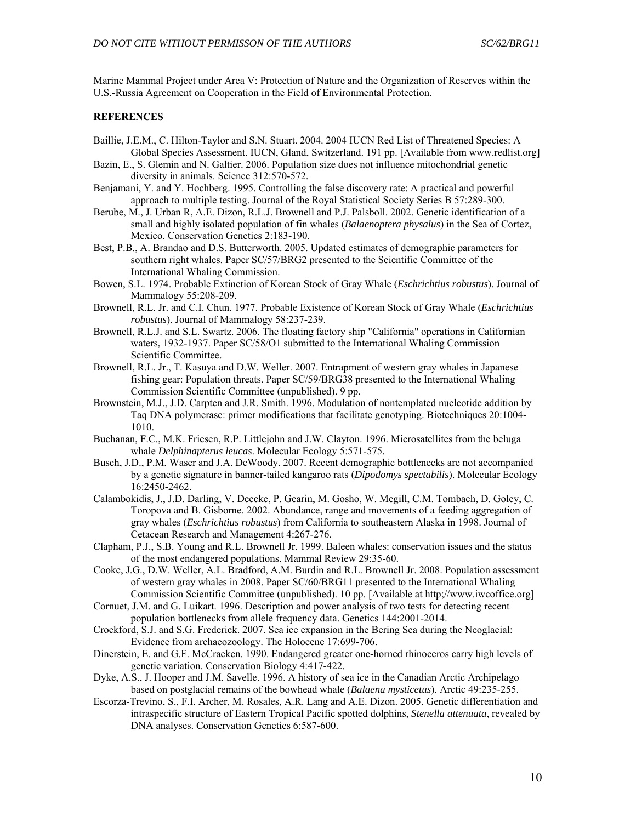Marine Mammal Project under Area V: Protection of Nature and the Organization of Reserves within the U.S.-Russia Agreement on Cooperation in the Field of Environmental Protection.

# **REFERENCES**

- Baillie, J.E.M., C. Hilton-Taylor and S.N. Stuart. 2004. 2004 IUCN Red List of Threatened Species: A Global Species Assessment. IUCN, Gland, Switzerland. 191 pp. [Available from www.redlist.org]
- Bazin, E., S. Glemin and N. Galtier. 2006. Population size does not influence mitochondrial genetic diversity in animals. Science 312:570-572.
- Benjamani, Y. and Y. Hochberg. 1995. Controlling the false discovery rate: A practical and powerful approach to multiple testing. Journal of the Royal Statistical Society Series B 57:289-300.
- Berube, M., J. Urban R, A.E. Dizon, R.L.J. Brownell and P.J. Palsboll. 2002. Genetic identification of a small and highly isolated population of fin whales (*Balaenoptera physalus*) in the Sea of Cortez, Mexico. Conservation Genetics 2:183-190.
- Best, P.B., A. Brandao and D.S. Butterworth. 2005. Updated estimates of demographic parameters for southern right whales. Paper SC/57/BRG2 presented to the Scientific Committee of the International Whaling Commission.
- Bowen, S.L. 1974. Probable Extinction of Korean Stock of Gray Whale (*Eschrichtius robustus*). Journal of Mammalogy 55:208-209.
- Brownell, R.L. Jr. and C.I. Chun. 1977. Probable Existence of Korean Stock of Gray Whale (*Eschrichtius robustus*). Journal of Mammalogy 58:237-239.
- Brownell, R.L.J. and S.L. Swartz. 2006. The floating factory ship "California" operations in Californian waters, 1932-1937. Paper SC/58/O1 submitted to the International Whaling Commission Scientific Committee.
- Brownell, R.L. Jr., T. Kasuya and D.W. Weller. 2007. Entrapment of western gray whales in Japanese fishing gear: Population threats. Paper SC/59/BRG38 presented to the International Whaling Commission Scientific Committee (unpublished). 9 pp.
- Brownstein, M.J., J.D. Carpten and J.R. Smith. 1996. Modulation of nontemplated nucleotide addition by Taq DNA polymerase: primer modifications that facilitate genotyping. Biotechniques 20:1004- 1010.
- Buchanan, F.C., M.K. Friesen, R.P. Littlejohn and J.W. Clayton. 1996. Microsatellites from the beluga whale *Delphinapterus leucas*. Molecular Ecology 5:571-575.
- Busch, J.D., P.M. Waser and J.A. DeWoody. 2007. Recent demographic bottlenecks are not accompanied by a genetic signature in banner-tailed kangaroo rats (*Dipodomys spectabilis*). Molecular Ecology 16:2450-2462.
- Calambokidis, J., J.D. Darling, V. Deecke, P. Gearin, M. Gosho, W. Megill, C.M. Tombach, D. Goley, C. Toropova and B. Gisborne. 2002. Abundance, range and movements of a feeding aggregation of gray whales (*Eschrichtius robustus*) from California to southeastern Alaska in 1998. Journal of Cetacean Research and Management 4:267-276.
- Clapham, P.J., S.B. Young and R.L. Brownell Jr. 1999. Baleen whales: conservation issues and the status of the most endangered populations. Mammal Review 29:35-60.
- Cooke, J.G., D.W. Weller, A.L. Bradford, A.M. Burdin and R.L. Brownell Jr. 2008. Population assessment of western gray whales in 2008. Paper SC/60/BRG11 presented to the International Whaling Commission Scientific Committee (unpublished). 10 pp. [Available at http;//www.iwcoffice.org]
- Cornuet, J.M. and G. Luikart. 1996. Description and power analysis of two tests for detecting recent population bottlenecks from allele frequency data. Genetics 144:2001-2014.
- Crockford, S.J. and S.G. Frederick. 2007. Sea ice expansion in the Bering Sea during the Neoglacial: Evidence from archaeozoology. The Holocene 17:699-706.
- Dinerstein, E. and G.F. McCracken. 1990. Endangered greater one-horned rhinoceros carry high levels of genetic variation. Conservation Biology 4:417-422.
- Dyke, A.S., J. Hooper and J.M. Savelle. 1996. A history of sea ice in the Canadian Arctic Archipelago based on postglacial remains of the bowhead whale (*Balaena mysticetus*). Arctic 49:235-255.
- Escorza-Trevino, S., F.I. Archer, M. Rosales, A.R. Lang and A.E. Dizon. 2005. Genetic differentiation and intraspecific structure of Eastern Tropical Pacific spotted dolphins, *Stenella attenuata*, revealed by DNA analyses. Conservation Genetics 6:587-600.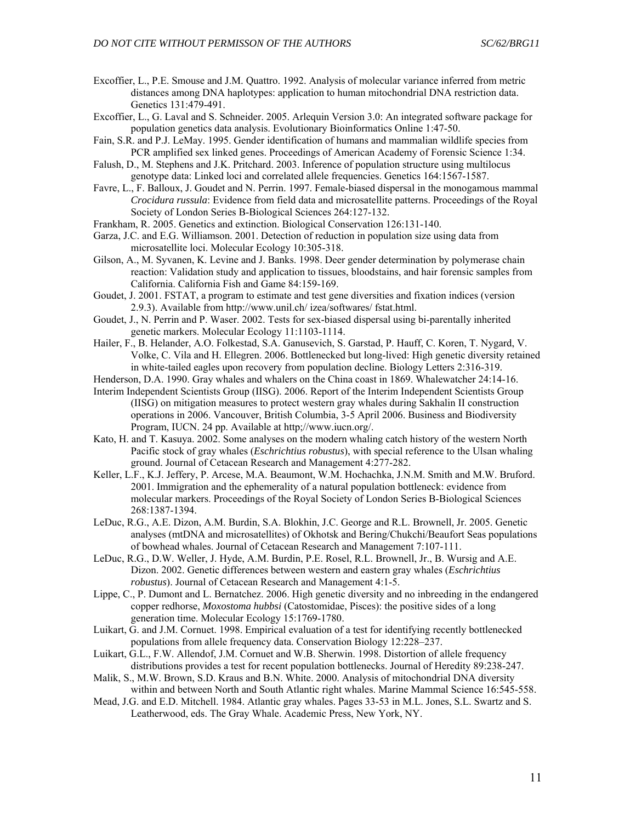- Excoffier, L., P.E. Smouse and J.M. Quattro. 1992. Analysis of molecular variance inferred from metric distances among DNA haplotypes: application to human mitochondrial DNA restriction data. Genetics 131:479-491.
- Excoffier, L., G. Laval and S. Schneider. 2005. Arlequin Version 3.0: An integrated software package for population genetics data analysis. Evolutionary Bioinformatics Online 1:47-50.
- Fain, S.R. and P.J. LeMay. 1995. Gender identification of humans and mammalian wildlife species from PCR amplified sex linked genes. Proceedings of American Academy of Forensic Science 1:34.
- Falush, D., M. Stephens and J.K. Pritchard. 2003. Inference of population structure using multilocus genotype data: Linked loci and correlated allele frequencies. Genetics 164:1567-1587.
- Favre, L., F. Balloux, J. Goudet and N. Perrin. 1997. Female-biased dispersal in the monogamous mammal *Crocidura russula*: Evidence from field data and microsatellite patterns. Proceedings of the Royal Society of London Series B-Biological Sciences 264:127-132.
- Frankham, R. 2005. Genetics and extinction. Biological Conservation 126:131-140.
- Garza, J.C. and E.G. Williamson. 2001. Detection of reduction in population size using data from microsatellite loci. Molecular Ecology 10:305-318.
- Gilson, A., M. Syvanen, K. Levine and J. Banks. 1998. Deer gender determination by polymerase chain reaction: Validation study and application to tissues, bloodstains, and hair forensic samples from California. California Fish and Game 84:159-169.
- Goudet, J. 2001. FSTAT, a program to estimate and test gene diversities and fixation indices (version 2.9.3). Available from http://www.unil.ch/ izea/softwares/ fstat.html.
- Goudet, J., N. Perrin and P. Waser. 2002. Tests for sex-biased dispersal using bi-parentally inherited genetic markers. Molecular Ecology 11:1103-1114.
- Hailer, F., B. Helander, A.O. Folkestad, S.A. Ganusevich, S. Garstad, P. Hauff, C. Koren, T. Nygard, V. Volke, C. Vila and H. Ellegren. 2006. Bottlenecked but long-lived: High genetic diversity retained in white-tailed eagles upon recovery from population decline. Biology Letters 2:316-319.
- Henderson, D.A. 1990. Gray whales and whalers on the China coast in 1869. Whalewatcher 24:14-16.
- Interim Independent Scientists Group (IISG). 2006. Report of the Interim Independent Scientists Group (IISG) on mitigation measures to protect western gray whales during Sakhalin II construction operations in 2006. Vancouver, British Columbia, 3-5 April 2006. Business and Biodiversity Program, IUCN. 24 pp. Available at http;//www.iucn.org/.
- Kato, H. and T. Kasuya. 2002. Some analyses on the modern whaling catch history of the western North Pacific stock of gray whales (*Eschrichtius robustus*), with special reference to the Ulsan whaling ground. Journal of Cetacean Research and Management 4:277-282.
- Keller, L.F., K.J. Jeffery, P. Arcese, M.A. Beaumont, W.M. Hochachka, J.N.M. Smith and M.W. Bruford. 2001. Immigration and the ephemerality of a natural population bottleneck: evidence from molecular markers. Proceedings of the Royal Society of London Series B-Biological Sciences 268:1387-1394.
- LeDuc, R.G., A.E. Dizon, A.M. Burdin, S.A. Blokhin, J.C. George and R.L. Brownell, Jr. 2005. Genetic analyses (mtDNA and microsatellites) of Okhotsk and Bering/Chukchi/Beaufort Seas populations of bowhead whales. Journal of Cetacean Research and Management 7:107-111.
- LeDuc, R.G., D.W. Weller, J. Hyde, A.M. Burdin, P.E. Rosel, R.L. Brownell, Jr., B. Wursig and A.E. Dizon. 2002. Genetic differences between western and eastern gray whales (*Eschrichtius robustus*). Journal of Cetacean Research and Management 4:1-5.
- Lippe, C., P. Dumont and L. Bernatchez. 2006. High genetic diversity and no inbreeding in the endangered copper redhorse, *Moxostoma hubbsi* (Catostomidae, Pisces): the positive sides of a long generation time. Molecular Ecology 15:1769-1780.
- Luikart, G. and J.M. Cornuet. 1998. Empirical evaluation of a test for identifying recently bottlenecked populations from allele frequency data. Conservation Biology 12:228–237.
- Luikart, G.L., F.W. Allendof, J.M. Cornuet and W.B. Sherwin. 1998. Distortion of allele frequency distributions provides a test for recent population bottlenecks. Journal of Heredity 89:238-247.
- Malik, S., M.W. Brown, S.D. Kraus and B.N. White. 2000. Analysis of mitochondrial DNA diversity within and between North and South Atlantic right whales. Marine Mammal Science 16:545-558.
- Mead, J.G. and E.D. Mitchell. 1984. Atlantic gray whales. Pages 33-53 in M.L. Jones, S.L. Swartz and S. Leatherwood, eds. The Gray Whale. Academic Press, New York, NY.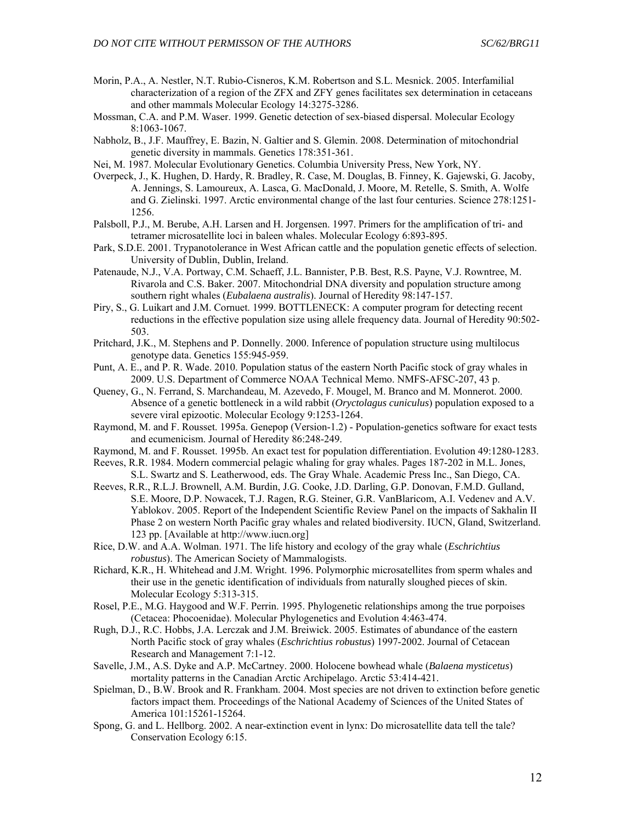- Morin, P.A., A. Nestler, N.T. Rubio-Cisneros, K.M. Robertson and S.L. Mesnick. 2005. Interfamilial characterization of a region of the ZFX and ZFY genes facilitates sex determination in cetaceans and other mammals Molecular Ecology 14:3275-3286.
- Mossman, C.A. and P.M. Waser. 1999. Genetic detection of sex-biased dispersal. Molecular Ecology 8:1063-1067.
- Nabholz, B., J.F. Mauffrey, E. Bazin, N. Galtier and S. Glemin. 2008. Determination of mitochondrial genetic diversity in mammals. Genetics 178:351-361.
- Nei, M. 1987. Molecular Evolutionary Genetics. Columbia University Press, New York, NY.
- Overpeck, J., K. Hughen, D. Hardy, R. Bradley, R. Case, M. Douglas, B. Finney, K. Gajewski, G. Jacoby, A. Jennings, S. Lamoureux, A. Lasca, G. MacDonald, J. Moore, M. Retelle, S. Smith, A. Wolfe and G. Zielinski. 1997. Arctic environmental change of the last four centuries. Science 278:1251- 1256.
- Palsboll, P.J., M. Berube, A.H. Larsen and H. Jorgensen. 1997. Primers for the amplification of tri- and tetramer microsatellite loci in baleen whales. Molecular Ecology 6:893-895.
- Park, S.D.E. 2001. Trypanotolerance in West African cattle and the population genetic effects of selection. University of Dublin, Dublin, Ireland.
- Patenaude, N.J., V.A. Portway, C.M. Schaeff, J.L. Bannister, P.B. Best, R.S. Payne, V.J. Rowntree, M. Rivarola and C.S. Baker. 2007. Mitochondrial DNA diversity and population structure among southern right whales (*Eubalaena australis*). Journal of Heredity 98:147-157.
- Piry, S., G. Luikart and J.M. Cornuet. 1999. BOTTLENECK: A computer program for detecting recent reductions in the effective population size using allele frequency data. Journal of Heredity 90:502- 503.
- Pritchard, J.K., M. Stephens and P. Donnelly. 2000. Inference of population structure using multilocus genotype data. Genetics 155:945-959.
- Punt, A. E., and P. R. Wade. 2010. Population status of the eastern North Pacific stock of gray whales in 2009. U.S. Department of Commerce NOAA Technical Memo. NMFS-AFSC-207, 43 p.
- Queney, G., N. Ferrand, S. Marchandeau, M. Azevedo, F. Mougel, M. Branco and M. Monnerot. 2000. Absence of a genetic bottleneck in a wild rabbit (*Oryctolagus cuniculus*) population exposed to a severe viral epizootic. Molecular Ecology 9:1253-1264.
- Raymond, M. and F. Rousset. 1995a. Genepop (Version-1.2) Population-genetics software for exact tests and ecumenicism. Journal of Heredity 86:248-249.
- Raymond, M. and F. Rousset. 1995b. An exact test for population differentiation. Evolution 49:1280-1283.
- Reeves, R.R. 1984. Modern commercial pelagic whaling for gray whales. Pages 187-202 in M.L. Jones, S.L. Swartz and S. Leatherwood, eds. The Gray Whale. Academic Press Inc., San Diego, CA.
- Reeves, R.R., R.L.J. Brownell, A.M. Burdin, J.G. Cooke, J.D. Darling, G.P. Donovan, F.M.D. Gulland, S.E. Moore, D.P. Nowacek, T.J. Ragen, R.G. Steiner, G.R. VanBlaricom, A.I. Vedenev and A.V. Yablokov. 2005. Report of the Independent Scientific Review Panel on the impacts of Sakhalin II Phase 2 on western North Pacific gray whales and related biodiversity. IUCN, Gland, Switzerland. 123 pp. [Available at http://www.iucn.org]
- Rice, D.W. and A.A. Wolman. 1971. The life history and ecology of the gray whale (*Eschrichtius robustus*). The American Society of Mammalogists.
- Richard, K.R., H. Whitehead and J.M. Wright. 1996. Polymorphic microsatellites from sperm whales and their use in the genetic identification of individuals from naturally sloughed pieces of skin. Molecular Ecology 5:313-315.
- Rosel, P.E., M.G. Haygood and W.F. Perrin. 1995. Phylogenetic relationships among the true porpoises (Cetacea: Phocoenidae). Molecular Phylogenetics and Evolution 4:463-474.
- Rugh, D.J., R.C. Hobbs, J.A. Lerczak and J.M. Breiwick. 2005. Estimates of abundance of the eastern North Pacific stock of gray whales (*Eschrichtius robustus*) 1997-2002. Journal of Cetacean Research and Management 7:1-12.
- Savelle, J.M., A.S. Dyke and A.P. McCartney. 2000. Holocene bowhead whale (*Balaena mysticetus*) mortality patterns in the Canadian Arctic Archipelago. Arctic 53:414-421.
- Spielman, D., B.W. Brook and R. Frankham. 2004. Most species are not driven to extinction before genetic factors impact them. Proceedings of the National Academy of Sciences of the United States of America 101:15261-15264.
- Spong, G. and L. Hellborg. 2002. A near-extinction event in lynx: Do microsatellite data tell the tale? Conservation Ecology 6:15.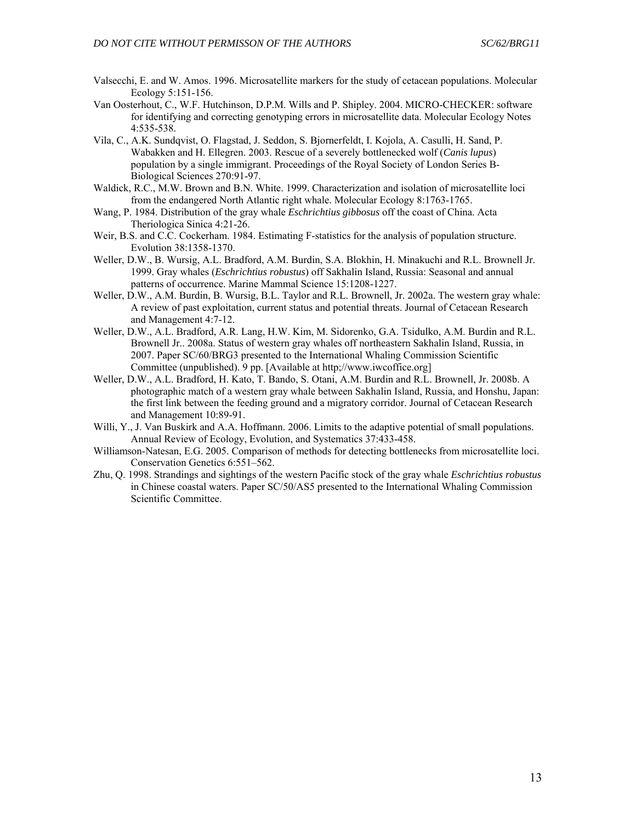- Valsecchi, E. and W. Amos. 1996. Microsatellite markers for the study of cetacean populations. Molecular Ecology 5:151-156.
- Van Oosterhout, C., W.F. Hutchinson, D.P.M. Wills and P. Shipley. 2004. MICRO-CHECKER: software for identifying and correcting genotyping errors in microsatellite data. Molecular Ecology Notes 4:535-538.
- Vila, C., A.K. Sundqvist, O. Flagstad, J. Seddon, S. Bjornerfeldt, I. Kojola, A. Casulli, H. Sand, P. Wabakken and H. Ellegren. 2003. Rescue of a severely bottlenecked wolf (*Canis lupus*) population by a single immigrant. Proceedings of the Royal Society of London Series B-Biological Sciences 270:91-97.
- Waldick, R.C., M.W. Brown and B.N. White. 1999. Characterization and isolation of microsatellite loci from the endangered North Atlantic right whale. Molecular Ecology 8:1763-1765.
- Wang, P. 1984. Distribution of the gray whale *Eschrichtius gibbosus* off the coast of China. Acta Theriologica Sinica 4:21-26.
- Weir, B.S. and C.C. Cockerham. 1984. Estimating F-statistics for the analysis of population structure. Evolution 38:1358-1370.
- Weller, D.W., B. Wursig, A.L. Bradford, A.M. Burdin, S.A. Blokhin, H. Minakuchi and R.L. Brownell Jr. 1999. Gray whales (*Eschrichtius robustus*) off Sakhalin Island, Russia: Seasonal and annual patterns of occurrence. Marine Mammal Science 15:1208-1227.
- Weller, D.W., A.M. Burdin, B. Wursig, B.L. Taylor and R.L. Brownell, Jr. 2002a. The western gray whale: A review of past exploitation, current status and potential threats. Journal of Cetacean Research and Management 4:7-12.
- Weller, D.W., A.L. Bradford, A.R. Lang, H.W. Kim, M. Sidorenko, G.A. Tsidulko, A.M. Burdin and R.L. Brownell Jr.. 2008a. Status of western gray whales off northeastern Sakhalin Island, Russia, in 2007. Paper SC/60/BRG3 presented to the International Whaling Commission Scientific Committee (unpublished). 9 pp. [Available at http;//www.iwcoffice.org]
- Weller, D.W., A.L. Bradford, H. Kato, T. Bando, S. Otani, A.M. Burdin and R.L. Brownell, Jr. 2008b. A photographic match of a western gray whale between Sakhalin Island, Russia, and Honshu, Japan: the first link between the feeding ground and a migratory corridor. Journal of Cetacean Research and Management 10:89-91.
- Willi, Y., J. Van Buskirk and A.A. Hoffmann. 2006. Limits to the adaptive potential of small populations. Annual Review of Ecology, Evolution, and Systematics 37:433-458.
- Williamson-Natesan, E.G. 2005. Comparison of methods for detecting bottlenecks from microsatellite loci. Conservation Genetics 6:551–562.
- Zhu, Q. 1998. Strandings and sightings of the western Pacific stock of the gray whale *Eschrichtius robustus* in Chinese coastal waters. Paper SC/50/AS5 presented to the International Whaling Commission Scientific Committee.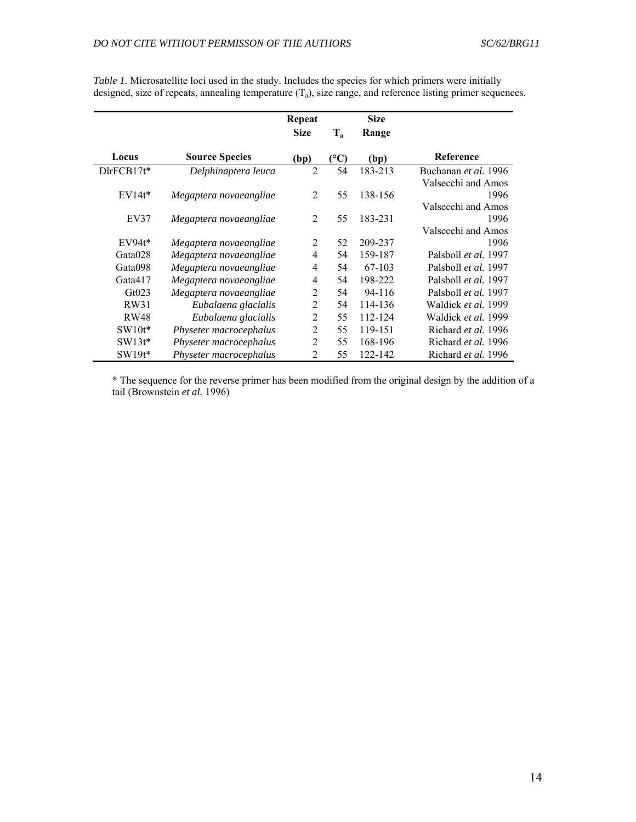|                       |                        | Repeat         |                 | <b>Size</b> |                      |
|-----------------------|------------------------|----------------|-----------------|-------------|----------------------|
|                       |                        | <b>Size</b>    | $T_a$           | Range       |                      |
| Locus                 | <b>Source Species</b>  | (bp)           | $({}^{\circ}C)$ | (bp)        | Reference            |
| $D$ lr $F$ CB17 $t^*$ | Delphinaptera leuca    | $\overline{2}$ | 54              | 183-213     | Buchanan et al. 1996 |
|                       |                        |                |                 |             | Valsecchi and Amos   |
| $EV14t*$              | Megaptera novaeangliae | 2              | 55              | 138-156     | 1996                 |
|                       |                        |                |                 |             | Valsecchi and Amos   |
| EV37                  | Megaptera novaeangliae | 2              | 55              | 183-231     | 1996                 |
|                       |                        |                |                 |             | Valsecchi and Amos   |
| $EV94t*$              | Megaptera novaeangliae | 2              | 52              | 209-237     | 1996                 |
| Gata028               | Megaptera novaeangliae | 4              | 54              | 159-187     | Palsboll et al. 1997 |
| Gata098               | Megaptera novaeangliae | 4              | 54              | 67-103      | Palsboll et al. 1997 |
| Gata417               | Megaptera novaeangliae | 4              | 54              | 198-222     | Palsboll et al. 1997 |
| Gt023                 | Megaptera novaeangliae | $\overline{2}$ | 54              | 94-116      | Palsboll et al. 1997 |
| RW31                  | Eubalaena glacialis    | $\overline{2}$ | 54              | 114-136     | Waldick et al. 1999  |
| <b>RW48</b>           | Eubalaena glacialis    | $\overline{2}$ | 55              | 112-124     | Waldick et al. 1999  |
| $SW10t*$              | Physeter macrocephalus | $\overline{2}$ | 55              | 119-151     | Richard et al. 1996  |
| $SW13t^*$             | Physeter macrocephalus | $\overline{2}$ | 55              | 168-196     | Richard et al. 1996  |
| $SW19t*$              | Physeter macrocephalus | 2              | 55              | 122-142     | Richard et al. 1996  |

*Table 1.* Microsatellite loci used in the study. Includes the species for which primers were initially designed, size of repeats, annealing temperature  $(T_a)$ , size range, and reference listing primer sequences.

\* The sequence for the reverse primer has been modified from the original design by the addition of a tail (Brownstein *et al.* 1996)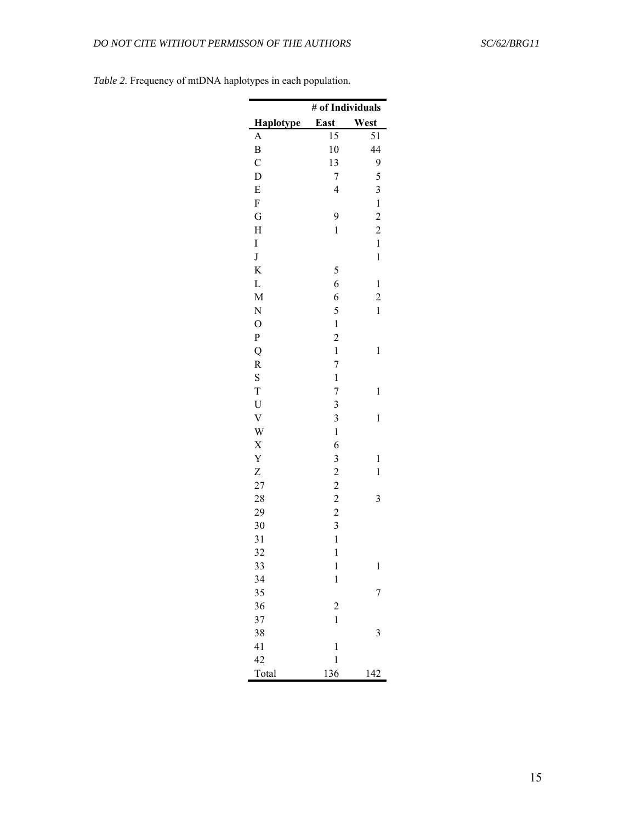|                | # of Individuals                                |                            |  |  |  |  |
|----------------|-------------------------------------------------|----------------------------|--|--|--|--|
| Haplotype      | East                                            | West                       |  |  |  |  |
| A              | 15                                              | 51                         |  |  |  |  |
| B              | 10                                              | 44                         |  |  |  |  |
| $\mathcal{C}$  | 13                                              | 9                          |  |  |  |  |
| D              | 7                                               | 5                          |  |  |  |  |
| E              | $\overline{\mathcal{L}}$                        | 3                          |  |  |  |  |
| F              |                                                 | $\mathbf{1}$               |  |  |  |  |
| G              | 9                                               | $\overline{c}$             |  |  |  |  |
| H              | $\mathbf{1}$                                    | $\overline{c}$             |  |  |  |  |
| I              |                                                 | $\mathbf{1}$               |  |  |  |  |
| $\bf J$        |                                                 | $\mathbf 1$                |  |  |  |  |
| K              | 5                                               |                            |  |  |  |  |
| L              | 6                                               | $\mathbf{1}$               |  |  |  |  |
| M              | 6                                               | $\overline{\mathbf{c}}$    |  |  |  |  |
| N              | 5                                               | $\mathbf{1}$               |  |  |  |  |
| $\overline{O}$ | $\,1$                                           |                            |  |  |  |  |
| P              | $\overline{\mathbf{c}}$                         |                            |  |  |  |  |
| Q              | $\mathbf{1}$                                    | $\mathbf{1}$               |  |  |  |  |
| R              | $\overline{\mathcal{I}}$                        |                            |  |  |  |  |
| S              | $\mathbf 1$                                     |                            |  |  |  |  |
| T              | $\overline{7}$                                  | $\mathbf{1}$               |  |  |  |  |
| $\mathbf U$    | $\overline{3}$                                  |                            |  |  |  |  |
| $\mathbf V$    | $\overline{\mathbf{3}}$                         | $\mathbf{1}$               |  |  |  |  |
| W              | $\mathbf{1}$                                    |                            |  |  |  |  |
| X<br>Y         | 6                                               |                            |  |  |  |  |
|                |                                                 | $\mathbf 1$<br>$\mathbf 1$ |  |  |  |  |
| Z<br>27        | $\begin{array}{c} 3 \\ 2 \\ 2 \\ 2 \end{array}$ |                            |  |  |  |  |
| 28             |                                                 | 3                          |  |  |  |  |
| 29             |                                                 |                            |  |  |  |  |
| 30             | 3                                               |                            |  |  |  |  |
| 31             | $\mathbf{1}$                                    |                            |  |  |  |  |
| 32             | $\mathbf{1}$                                    |                            |  |  |  |  |
| 33             | $\mathbf{1}$                                    | $\mathbf{1}$               |  |  |  |  |
| 34             | $\mathbf{1}$                                    |                            |  |  |  |  |
| 35             |                                                 | 7                          |  |  |  |  |
| 36             | $\overline{\mathbf{c}}$                         |                            |  |  |  |  |
| 37             | $\mathbf{1}$                                    |                            |  |  |  |  |
| 38             |                                                 | 3                          |  |  |  |  |
| 41             | $\mathbf 1$                                     |                            |  |  |  |  |
| 42             | $\mathbf 1$                                     |                            |  |  |  |  |
| Total          | 136                                             | 142                        |  |  |  |  |

*Table 2.* Frequency of mtDNA haplotypes in each population.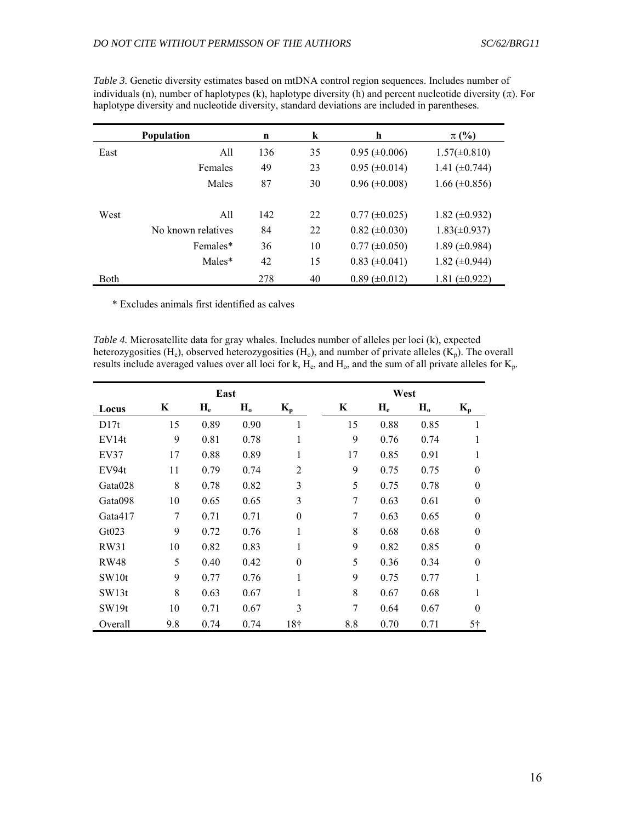|             | <b>Population</b>  | n   | k  | h                    | $\pi$ (%)            |
|-------------|--------------------|-----|----|----------------------|----------------------|
| East        | All                | 136 | 35 | $0.95 \ (\pm 0.006)$ | $1.57(\pm 0.810)$    |
|             | Females            | 49  | 23 | $0.95 \ (\pm 0.014)$ | 1.41 $(\pm 0.744)$   |
|             | Males              | 87  | 30 | $0.96 \ (\pm 0.008)$ | $1.66 \ (\pm 0.856)$ |
| West        | All                | 142 | 22 | $0.77 \ (\pm 0.025)$ | 1.82 $(\pm 0.932)$   |
|             | No known relatives | 84  | 22 | $0.82 \ (\pm 0.030)$ | $1.83(\pm 0.937)$    |
|             | Females*           | 36  | 10 | $0.77 (\pm 0.050)$   | 1.89 $(\pm 0.984)$   |
|             | Males*             | 42  | 15 | $0.83 \ (\pm 0.041)$ | 1.82 $(\pm 0.944)$   |
| <b>Both</b> |                    | 278 | 40 | $0.89 \ (\pm 0.012)$ | 1.81 $(\pm 0.922)$   |

*Table 3.* Genetic diversity estimates based on mtDNA control region sequences. Includes number of individuals (n), number of haplotypes (k), haplotype diversity (h) and percent nucleotide diversity  $(\pi)$ . For haplotype diversity and nucleotide diversity, standard deviations are included in parentheses.

\* Excludes animals first identified as calves

*Table 4.* Microsatellite data for gray whales. Includes number of alleles per loci (k), expected heterozygosities (H<sub>e</sub>), observed heterozygosities (H<sub>o</sub>), and number of private alleles (K<sub>p</sub>). The overall results include averaged values over all loci for k,  $H_e$ , and  $H_o$ , and the sum of all private alleles for  $K_p$ .

|                   |     | East  |       |                | West |       |         |                |
|-------------------|-----|-------|-------|----------------|------|-------|---------|----------------|
| Locus             | K   | $H_e$ | $H_0$ | $K_{p}$        | K    | $H_e$ | $H_{o}$ | $K_{p}$        |
| D17t              | 15  | 0.89  | 0.90  | 1              | 15   | 0.88  | 0.85    | 1              |
| EV14t             | 9   | 0.81  | 0.78  | 1              | 9    | 0.76  | 0.74    | 1              |
| EV37              | 17  | 0.88  | 0.89  | 1              | 17   | 0.85  | 0.91    | 1              |
| EV94t             | 11  | 0.79  | 0.74  | $\overline{2}$ | 9    | 0.75  | 0.75    | $\theta$       |
| Gata028           | 8   | 0.78  | 0.82  | 3              | 5    | 0.75  | 0.78    | $\theta$       |
| Gata098           | 10  | 0.65  | 0.65  | 3              | 7    | 0.63  | 0.61    | $\theta$       |
| Gata417           | 7   | 0.71  | 0.71  | $\theta$       | 7    | 0.63  | 0.65    | $\theta$       |
| Gt023             | 9   | 0.72  | 0.76  | 1              | 8    | 0.68  | 0.68    | $\theta$       |
| RW31              | 10  | 0.82  | 0.83  | 1              | 9    | 0.82  | 0.85    | $\theta$       |
| <b>RW48</b>       | 5   | 0.40  | 0.42  | $\theta$       | 5    | 0.36  | 0.34    | $\theta$       |
| SW10t             | 9   | 0.77  | 0.76  | $\mathbf{1}$   | 9    | 0.75  | 0.77    | 1              |
| SW13t             | 8   | 0.63  | 0.67  | 1              | 8    | 0.67  | 0.68    | 1              |
| SW <sub>19t</sub> | 10  | 0.71  | 0.67  | 3              | 7    | 0.64  | 0.67    | $\theta$       |
| Overall           | 9.8 | 0.74  | 0.74  | 18†            | 8.8  | 0.70  | 0.71    | 5 <sup>†</sup> |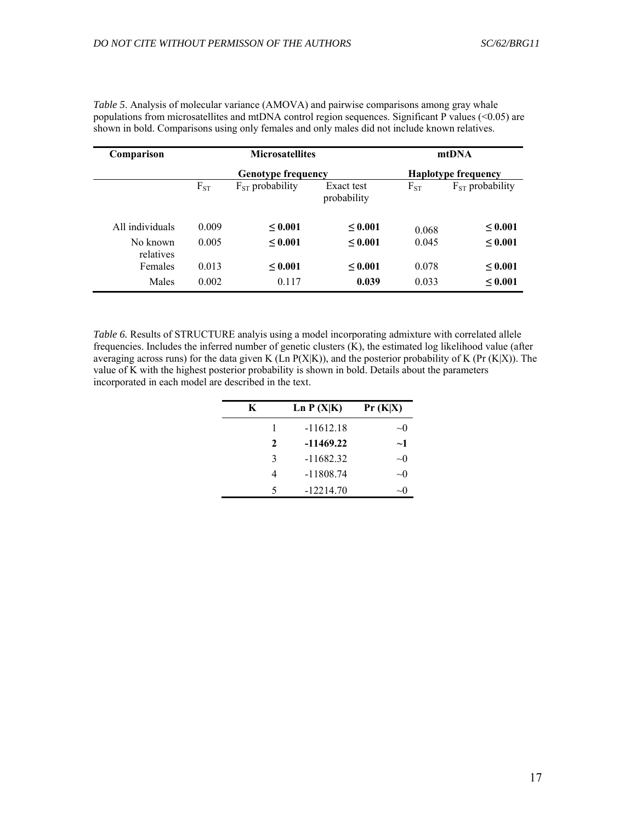| Comparison            |          | <b>Microsatellites</b>    |                           |          | mtDNA                      |
|-----------------------|----------|---------------------------|---------------------------|----------|----------------------------|
|                       |          | <b>Genotype frequency</b> |                           |          | <b>Haplotype frequency</b> |
|                       | $F_{ST}$ | $F_{ST}$ probability      | Exact test<br>probability | $F_{ST}$ | $F_{ST}$ probability       |
| All individuals       | 0.009    | $\leq 0.001$              | < 0.001                   | 0.068    | $\leq 0.001$               |
| No known<br>relatives | 0.005    | $\leq 0.001$              | ${}_{0.001}$              | 0.045    | < 0.001                    |
| Females               | 0.013    | $\leq 0.001$              | ${}_{0.001}$              | 0.078    | $\leq 0.001$               |
| Males                 | 0.002    | 0.117                     | 0.039                     | 0.033    | < 0.001                    |

*Table 5*. Analysis of molecular variance (AMOVA) and pairwise comparisons among gray whale populations from microsatellites and mtDNA control region sequences. Significant P values (<0.05) are shown in bold. Comparisons using only females and only males did not include known relatives.

*Table 6.* Results of STRUCTURE analyis using a model incorporating admixture with correlated allele frequencies. Includes the inferred number of genetic clusters (K), the estimated log likelihood value (after averaging across runs) for the data given K (Ln  $P(X|K)$ ), and the posterior probability of K (Pr (K|X)). The value of K with the highest posterior probability is shown in bold. Details about the parameters incorporated in each model are described in the text.

| K | Ln $P(X K)$ | Pr(K X)   |
|---|-------------|-----------|
| 1 | $-11612.18$ | $\sim$ () |
| 2 | $-11469.22$ | $\sim$ 1  |
| 3 | $-11682.32$ | $\sim$ 0  |
|   | $-11808.74$ | $\sim$ () |
| 5 | $-12214.70$ | ∼∣        |